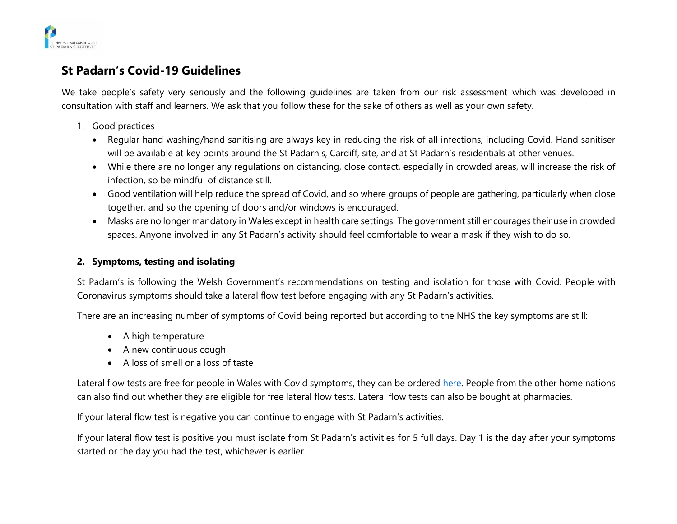

## **St Padarn's Covid-19 Guidelines**

We take people's safety very seriously and the following guidelines are taken from our risk assessment which was developed in consultation with staff and learners. We ask that you follow these for the sake of others as well as your own safety.

- 1. Good practices
	- Regular hand washing/hand sanitising are always key in reducing the risk of all infections, including Covid. Hand sanitiser will be available at key points around the St Padarn's, Cardiff, site, and at St Padarn's residentials at other venues.
	- While there are no longer any regulations on distancing, close contact, especially in crowded areas, will increase the risk of infection, so be mindful of distance still.
	- Good ventilation will help reduce the spread of Covid, and so where groups of people are gathering, particularly when close together, and so the opening of doors and/or windows is encouraged.
	- Masks are no longer mandatory in Wales except in health care settings. The government still encourages their use in crowded spaces. Anyone involved in any St Padarn's activity should feel comfortable to wear a mask if they wish to do so.

## **2. Symptoms, testing and isolating**

St Padarn's is following the Welsh Government's recommendations on testing and isolation for those with Covid. People with Coronavirus symptoms should take a lateral flow test before engaging with any St Padarn's activities.

There are an increasing number of symptoms of Covid being reported but according to the NHS the key symptoms are still:

- A high temperature
- A new continuous cough
- A loss of smell or a loss of taste

Lateral flow tests are free for people in Wales with Covid symptoms, they can be ordered here. People from the other home nations can also find out whether they are eligible for free lateral flow tests. Lateral flow tests can also be bought at pharmacies.

If your lateral flow test is negative you can continue to engage with St Padarn's activities.

If your lateral flow test is positive you must isolate from St Padarn's activities for 5 full days. Day 1 is the day after your symptoms started or the day you had the test, whichever is earlier.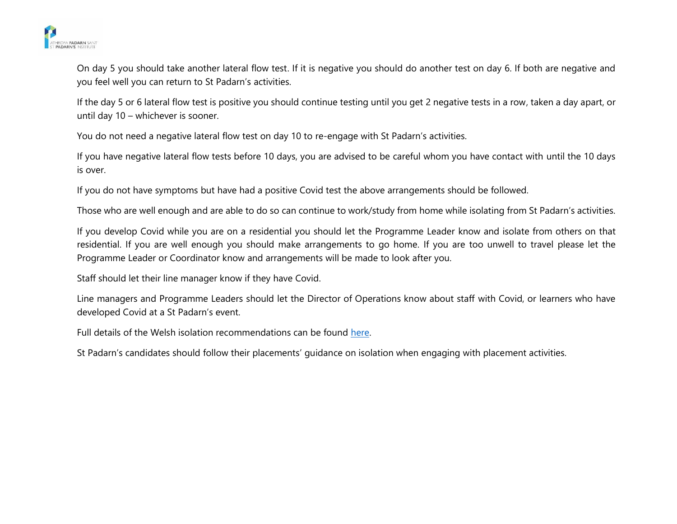

On day 5 you should take another lateral flow test. If it is negative you should do another test on day 6. If both are negative and you feel well you can return to St Padarn's activities.

If the day 5 or 6 lateral flow test is positive you should continue testing until you get 2 negative tests in a row, taken a day apart, or until day 10 – whichever is sooner.

You do not need a negative lateral flow test on day 10 to re-engage with St Padarn's activities.

If you have negative lateral flow tests before 10 days, you are advised to be careful whom you have contact with until the 10 days is over.

If you do not have symptoms but have had a positive Covid test the above arrangements should be followed.

Those who are well enough and are able to do so can continue to work/study from home while isolating from St Padarn's activities.

If you develop Covid while you are on a residential you should let the Programme Leader know and isolate from others on that residential. If you are well enough you should make arrangements to go home. If you are too unwell to travel please let the Programme Leader or Coordinator know and arrangements will be made to look after you.

Staff should let their line manager know if they have Covid.

Line managers and Programme Leaders should let the Director of Operations know about staff with Covid, or learners who have developed Covid at a St Padarn's event.

Full details of the Welsh isolation recommendations can be found [here.](https://gov.wales/self-isolation)

St Padarn's candidates should follow their placements' guidance on isolation when engaging with placement activities.